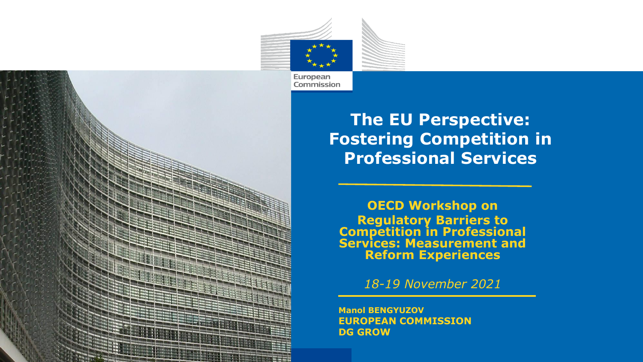

European Commission



#### **The EU Perspective: Fostering Competition in Professional Services**

**OECD Workshop on Regulatory Barriers to Competition in Professional Services: Measurement and Reform Experiences**

*18-19 November 2021*

**Manol BENGYUZOV EUROPEAN COMMISSION DG GROW**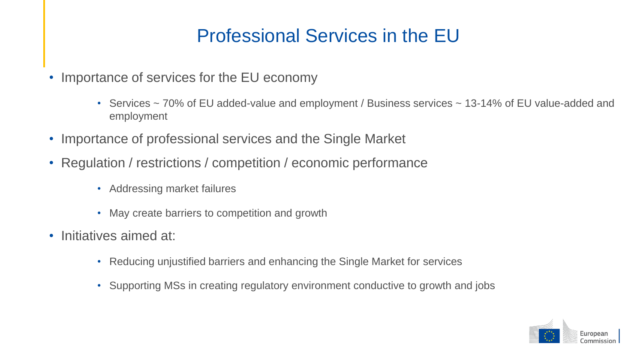## Professional Services in the EU

- Importance of services for the EU economy
	- Services ~ 70% of EU added-value and employment / Business services ~ 13-14% of EU value-added and employment
- Importance of professional services and the Single Market
- Regulation / restrictions / competition / economic performance
	- Addressing market failures
	- May create barriers to competition and growth
- Initiatives aimed at:
	- Reducing unjustified barriers and enhancing the Single Market for services
	- Supporting MSs in creating regulatory environment conductive to growth and jobs

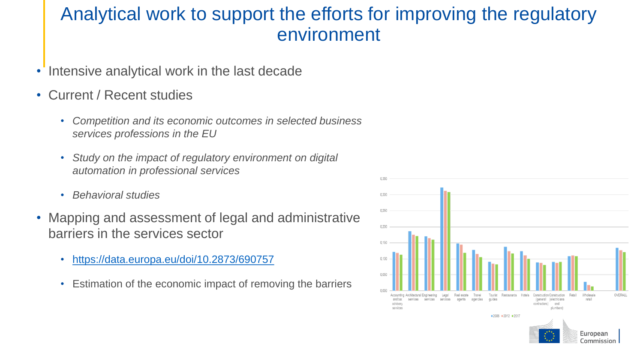#### Analytical work to support the efforts for improving the regulatory environment

- Intensive analytical work in the last decade
- Current / Recent studies
	- *Competition and its economic outcomes in selected business services professions in the EU*
	- *Study on the impact of regulatory environment on digital automation in professional services*
	- *Behavioral studies*
- Mapping and assessment of legal and administrative barriers in the services sector
	- <https://data.europa.eu/doi/10.2873/690757>
	- Estimation of the economic impact of removing the barriers



Commission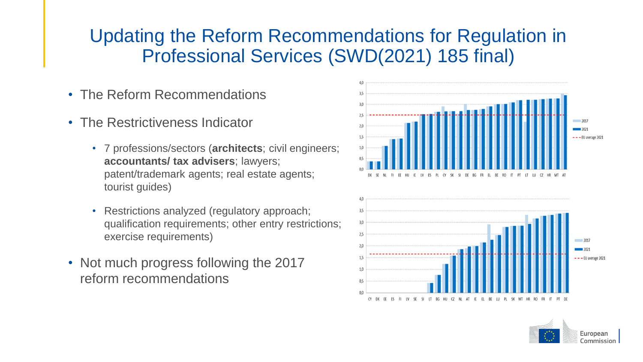### Updating the Reform Recommendations for Regulation in Professional Services (SWD(2021) 185 final)

- The Reform Recommendations
- The Restrictiveness Indicator
	- 7 professions/sectors (**architects**; civil engineers; **accountants/ tax advisers**; lawyers; patent/trademark agents; real estate agents; tourist guides)
	- Restrictions analyzed (regulatory approach; qualification requirements; other entry restrictions; exercise requirements)
- Not much progress following the 2017 reform recommendations



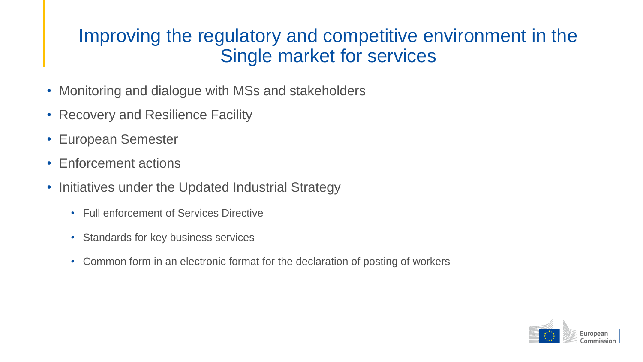### Improving the regulatory and competitive environment in the Single market for services

- Monitoring and dialogue with MSs and stakeholders
- Recovery and Resilience Facility
- European Semester
- Enforcement actions
- Initiatives under the Updated Industrial Strategy
	- Full enforcement of Services Directive
	- Standards for key business services
	- Common form in an electronic format for the declaration of posting of workers